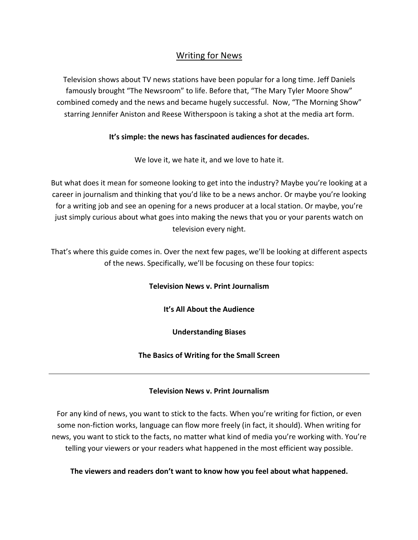## Writing for News

Television shows about TV news stations have been popular for a long time. Jeff Daniels famously brought "The Newsroom" to life. Before that, "The Mary Tyler Moore Show" combined comedy and the news and became hugely successful. Now, "The Morning Show" starring Jennifer Aniston and Reese Witherspoon is taking a shot at the media art form.

## **It's simple: the news has fascinated audiences for decades.**

We love it, we hate it, and we love to hate it.

But what does it mean for someone looking to get into the industry? Maybe you're looking at a career in journalism and thinking that you'd like to be a news anchor. Or maybe you're looking for a writing job and see an opening for a news producer at a local station. Or maybe, you're just simply curious about what goes into making the news that you or your parents watch on television every night.

That's where this guide comes in. Over the next few pages, we'll be looking at different aspects of the news. Specifically, we'll be focusing on these four topics:

**Television News v. Print Journalism**

**It's All About the Audience**

**Understanding Biases**

**The Basics of Writing for the Small Screen**

#### **Television News v. Print Journalism**

For any kind of news, you want to stick to the facts. When you're writing for fiction, or even some non-fiction works, language can flow more freely (in fact, it should). When writing for news, you want to stick to the facts, no matter what kind of media you're working with. You're telling your viewers or your readers what happened in the most efficient way possible.

**The viewers and readers don't want to know how you feel about what happened.**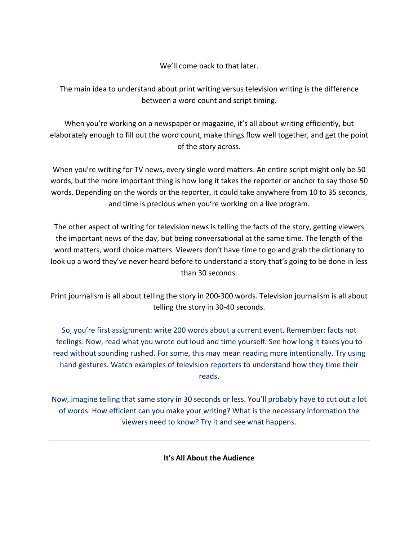We'll come back to that later.

The main idea to understand about print writing versus television writing is the difference between a word count and script timing.

When you're working on a newspaper or magazine, it's all about writing efficiently, but elaborately enough to fill out the word count, make things flow well together, and get the point of the story across.

When you're writing for TV news, every single word matters. An entire script might only be 50 words, but the more important thing is how long it takes the reporter or anchor to say those 50 words. Depending on the words or the reporter, it could take anywhere from 10 to 35 seconds, and time is precious when you're working on a live program.

The other aspect of writing for television news is telling the facts of the story, getting viewers the important news of the day, but being conversational at the same time. The length of the word matters, word choice matters. Viewers don't have time to go and grab the dictionary to look up a word they've never heard before to understand a story that's going to be done in less than 30 seconds.

Print journalism is all about telling the story in 200-300 words. Television journalism is all about telling the story in 30-40 seconds.

So, you're first assignment: write 200 words about a current event. Remember: facts not feelings. Now, read what you wrote out loud and time yourself. See how long it takes you to read without sounding rushed. For some, this may mean reading more intentionally. Try using hand gestures. Watch examples of television reporters to understand how they time their reads.

Now, imagine telling that same story in 30 seconds or less. You'll probably have to cut out a lot of words. How efficient can you make your writing? What is the necessary information the viewers need to know? Try it and see what happens.

**It's All About the Audience**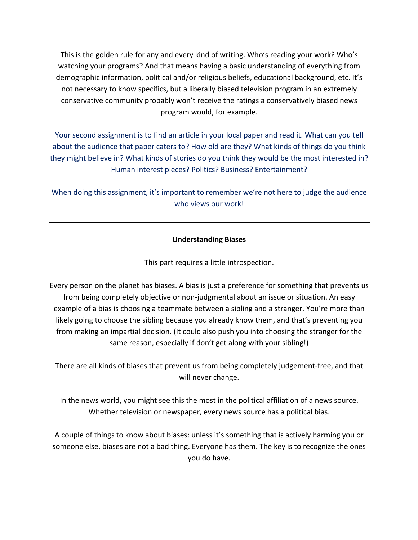This is the golden rule for any and every kind of writing. Who's reading your work? Who's watching your programs? And that means having a basic understanding of everything from demographic information, political and/or religious beliefs, educational background, etc. It's not necessary to know specifics, but a liberally biased television program in an extremely conservative community probably won't receive the ratings a conservatively biased news program would, for example.

Your second assignment is to find an article in your local paper and read it. What can you tell about the audience that paper caters to? How old are they? What kinds of things do you think they might believe in? What kinds of stories do you think they would be the most interested in? Human interest pieces? Politics? Business? Entertainment?

When doing this assignment, it's important to remember we're not here to judge the audience who views our work!

## **Understanding Biases**

This part requires a little introspection.

Every person on the planet has biases. A bias is just a preference for something that prevents us from being completely objective or non-judgmental about an issue or situation. An easy example of a bias is choosing a teammate between a sibling and a stranger. You're more than likely going to choose the sibling because you already know them, and that's preventing you from making an impartial decision. (It could also push you into choosing the stranger for the same reason, especially if don't get along with your sibling!)

There are all kinds of biases that prevent us from being completely judgement-free, and that will never change.

In the news world, you might see this the most in the political affiliation of a news source. Whether television or newspaper, every news source has a political bias.

A couple of things to know about biases: unless it's something that is actively harming you or someone else, biases are not a bad thing. Everyone has them. The key is to recognize the ones you do have.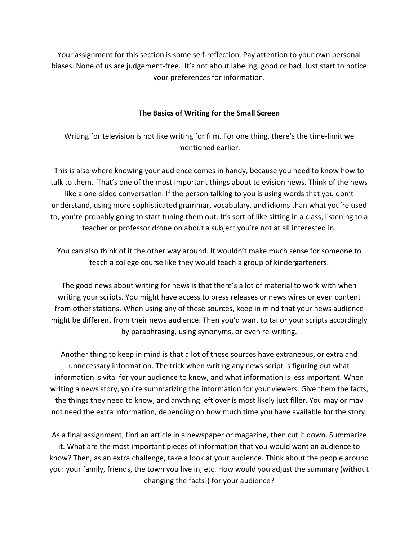Your assignment for this section is some self-reflection. Pay attention to your own personal biases. None of us are judgement-free. It's not about labeling, good or bad. Just start to notice your preferences for information.

#### **The Basics of Writing for the Small Screen**

Writing for television is not like writing for film. For one thing, there's the time-limit we mentioned earlier.

This is also where knowing your audience comes in handy, because you need to know how to talk to them. That's one of the most important things about television news. Think of the news like a one-sided conversation. If the person talking to you is using words that you don't understand, using more sophisticated grammar, vocabulary, and idioms than what you're used to, you're probably going to start tuning them out. It's sort of like sitting in a class, listening to a teacher or professor drone on about a subject you're not at all interested in.

You can also think of it the other way around. It wouldn't make much sense for someone to teach a college course like they would teach a group of kindergarteners.

The good news about writing for news is that there's a lot of material to work with when writing your scripts. You might have access to press releases or news wires or even content from other stations. When using any of these sources, keep in mind that your news audience might be different from their news audience. Then you'd want to tailor your scripts accordingly by paraphrasing, using synonyms, or even re-writing.

Another thing to keep in mind is that a lot of these sources have extraneous, or extra and unnecessary information. The trick when writing any news script is figuring out what information is vital for your audience to know, and what information is less important. When writing a news story, you're summarizing the information for your viewers. Give them the facts, the things they need to know, and anything left over is most likely just filler. You may or may not need the extra information, depending on how much time you have available for the story.

As a final assignment, find an article in a newspaper or magazine, then cut it down. Summarize it. What are the most important pieces of information that you would want an audience to know? Then, as an extra challenge, take a look at your audience. Think about the people around you: your family, friends, the town you live in, etc. How would you adjust the summary (without changing the facts!) for your audience?